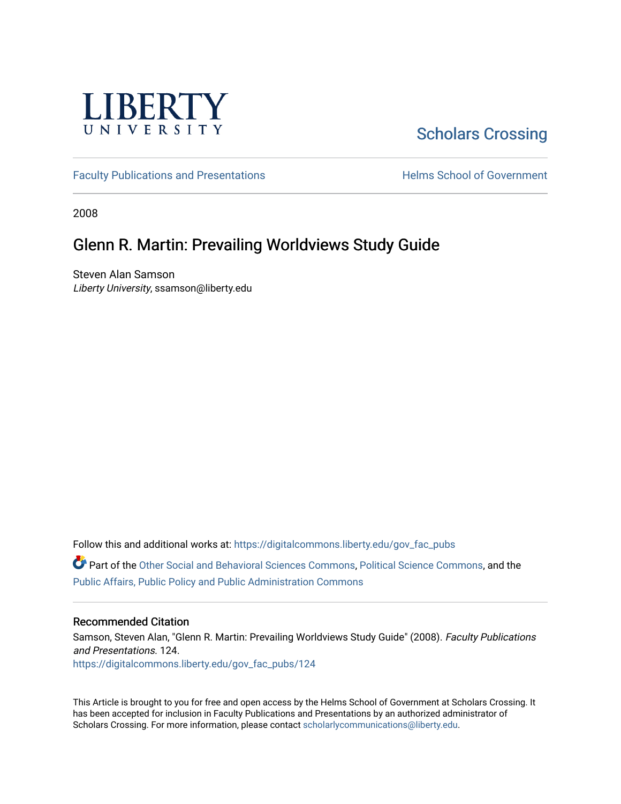

## [Scholars Crossing](https://digitalcommons.liberty.edu/)

[Faculty Publications and Presentations](https://digitalcommons.liberty.edu/gov_fac_pubs) **Exercise School of Government** 

2008

### Glenn R. Martin: Prevailing Worldviews Study Guide

Steven Alan Samson Liberty University, ssamson@liberty.edu

Follow this and additional works at: [https://digitalcommons.liberty.edu/gov\\_fac\\_pubs](https://digitalcommons.liberty.edu/gov_fac_pubs?utm_source=digitalcommons.liberty.edu%2Fgov_fac_pubs%2F124&utm_medium=PDF&utm_campaign=PDFCoverPages)

Part of the [Other Social and Behavioral Sciences Commons](http://network.bepress.com/hgg/discipline/437?utm_source=digitalcommons.liberty.edu%2Fgov_fac_pubs%2F124&utm_medium=PDF&utm_campaign=PDFCoverPages), [Political Science Commons](http://network.bepress.com/hgg/discipline/386?utm_source=digitalcommons.liberty.edu%2Fgov_fac_pubs%2F124&utm_medium=PDF&utm_campaign=PDFCoverPages), and the [Public Affairs, Public Policy and Public Administration Commons](http://network.bepress.com/hgg/discipline/393?utm_source=digitalcommons.liberty.edu%2Fgov_fac_pubs%2F124&utm_medium=PDF&utm_campaign=PDFCoverPages)

### Recommended Citation

Samson, Steven Alan, "Glenn R. Martin: Prevailing Worldviews Study Guide" (2008). Faculty Publications and Presentations. 124. [https://digitalcommons.liberty.edu/gov\\_fac\\_pubs/124](https://digitalcommons.liberty.edu/gov_fac_pubs/124?utm_source=digitalcommons.liberty.edu%2Fgov_fac_pubs%2F124&utm_medium=PDF&utm_campaign=PDFCoverPages)

This Article is brought to you for free and open access by the Helms School of Government at Scholars Crossing. It has been accepted for inclusion in Faculty Publications and Presentations by an authorized administrator of Scholars Crossing. For more information, please contact [scholarlycommunications@liberty.edu.](mailto:scholarlycommunications@liberty.edu)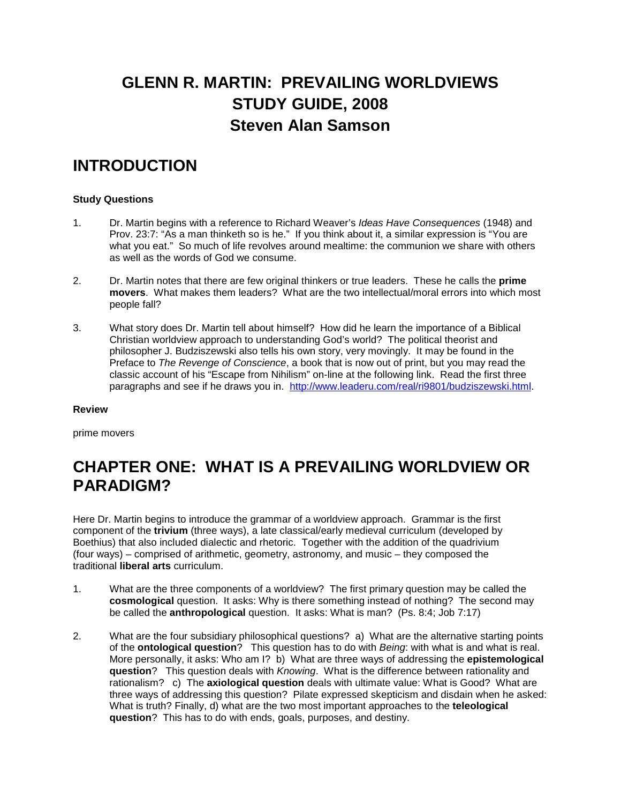# **GLENN R. MARTIN: PREVAILING WORLDVIEWS STUDY GUIDE, 2008 Steven Alan Samson**

## **INTRODUCTION**

### **Study Questions**

- 1. Dr. Martin begins with a reference to Richard Weaver's *Ideas Have Consequences* (1948) and Prov. 23:7: "As a man thinketh so is he." If you think about it, a similar expression is "You are what you eat." So much of life revolves around mealtime: the communion we share with others as well as the words of God we consume.
- 2. Dr. Martin notes that there are few original thinkers or true leaders. These he calls the **prime movers**. What makes them leaders? What are the two intellectual/moral errors into which most people fall?
- 3. What story does Dr. Martin tell about himself? How did he learn the importance of a Biblical Christian worldview approach to understanding God's world? The political theorist and philosopher J. Budziszewski also tells his own story, very movingly. It may be found in the Preface to *The Revenge of Conscience*, a book that is now out of print, but you may read the classic account of his "Escape from Nihilism" on-line at the following link. Read the first three paragraphs and see if he draws you in. [http://www.leaderu.com/real/ri9801/budziszewski.html.](http://www.leaderu.com/real/ri9801/budziszewski.html)

#### **Review**

prime movers

## **CHAPTER ONE: WHAT IS A PREVAILING WORLDVIEW OR PARADIGM?**

Here Dr. Martin begins to introduce the grammar of a worldview approach. Grammar is the first component of the **trivium** (three ways), a late classical/early medieval curriculum (developed by Boethius) that also included dialectic and rhetoric. Together with the addition of the quadrivium (four ways) – comprised of arithmetic, geometry, astronomy, and music – they composed the traditional **liberal arts** curriculum.

- 1. What are the three components of a worldview? The first primary question may be called the **cosmological** question. It asks: Why is there something instead of nothing? The second may be called the **anthropological** question. It asks: What is man? (Ps. 8:4; Job 7:17)
- 2. What are the four subsidiary philosophical questions? a) What are the alternative starting points of the **ontological question**? This question has to do with *Being*: with what is and what is real. More personally, it asks: Who am I? b) What are three ways of addressing the **epistemological question**? This question deals with *Knowing*. What is the difference between rationality and rationalism? c) The **axiological question** deals with ultimate value: What is Good? What are three ways of addressing this question? Pilate expressed skepticism and disdain when he asked: What is truth? Finally, d) what are the two most important approaches to the **teleological question**? This has to do with ends, goals, purposes, and destiny.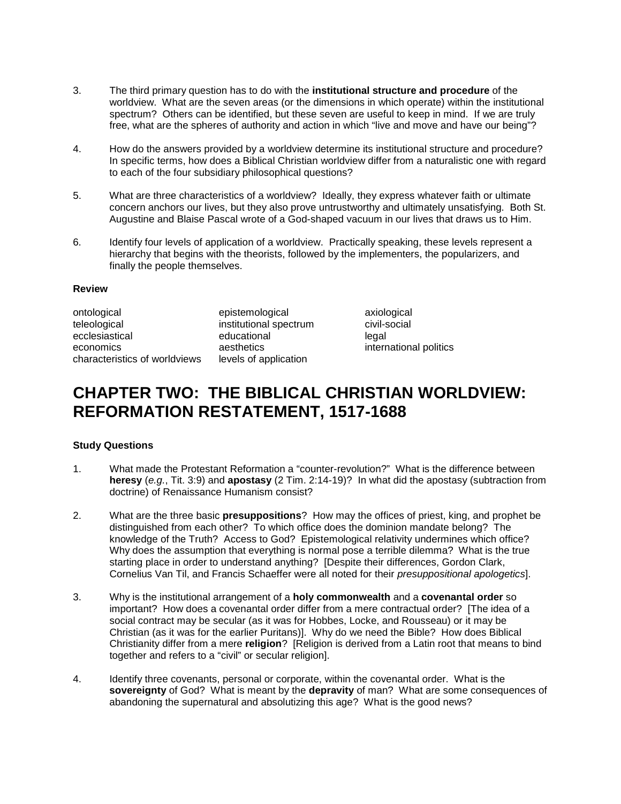- 3. The third primary question has to do with the **institutional structure and procedure** of the worldview. What are the seven areas (or the dimensions in which operate) within the institutional spectrum? Others can be identified, but these seven are useful to keep in mind. If we are truly free, what are the spheres of authority and action in which "live and move and have our being"?
- 4. How do the answers provided by a worldview determine its institutional structure and procedure? In specific terms, how does a Biblical Christian worldview differ from a naturalistic one with regard to each of the four subsidiary philosophical questions?
- 5. What are three characteristics of a worldview? Ideally, they express whatever faith or ultimate concern anchors our lives, but they also prove untrustworthy and ultimately unsatisfying. Both St. Augustine and Blaise Pascal wrote of a God-shaped vacuum in our lives that draws us to Him.
- 6. Identify four levels of application of a worldview. Practically speaking, these levels represent a hierarchy that begins with the theorists, followed by the implementers, the popularizers, and finally the people themselves.

#### **Review**

ontological epistemological axiological exports existence axiological electrom civil-social exists and civil-<br>
existence institutional spectrum civil-social ecclesiastical educational educational legal economics aesthetics international politics economics characteristics of worldviews levels of application

institutional spectrum

## **CHAPTER TWO: THE BIBLICAL CHRISTIAN WORLDVIEW: REFORMATION RESTATEMENT, 1517-1688**

### **Study Questions**

- 1. What made the Protestant Reformation a "counter-revolution?" What is the difference between **heresy** (*e.g.*, Tit. 3:9) and **apostasy** (2 Tim. 2:14-19)? In what did the apostasy (subtraction from doctrine) of Renaissance Humanism consist?
- 2. What are the three basic **presuppositions**? How may the offices of priest, king, and prophet be distinguished from each other? To which office does the dominion mandate belong? The knowledge of the Truth? Access to God? Epistemological relativity undermines which office? Why does the assumption that everything is normal pose a terrible dilemma? What is the true starting place in order to understand anything? [Despite their differences, Gordon Clark, Cornelius Van Til, and Francis Schaeffer were all noted for their *presuppositional apologetics*].
- 3. Why is the institutional arrangement of a **holy commonwealth** and a **covenantal order** so important? How does a covenantal order differ from a mere contractual order? [The idea of a social contract may be secular (as it was for Hobbes, Locke, and Rousseau) or it may be Christian (as it was for the earlier Puritans)]. Why do we need the Bible? How does Biblical Christianity differ from a mere **religion**? [Religion is derived from a Latin root that means to bind together and refers to a "civil" or secular religion].
- 4. Identify three covenants, personal or corporate, within the covenantal order. What is the **sovereignty** of God? What is meant by the **depravity** of man? What are some consequences of abandoning the supernatural and absolutizing this age? What is the good news?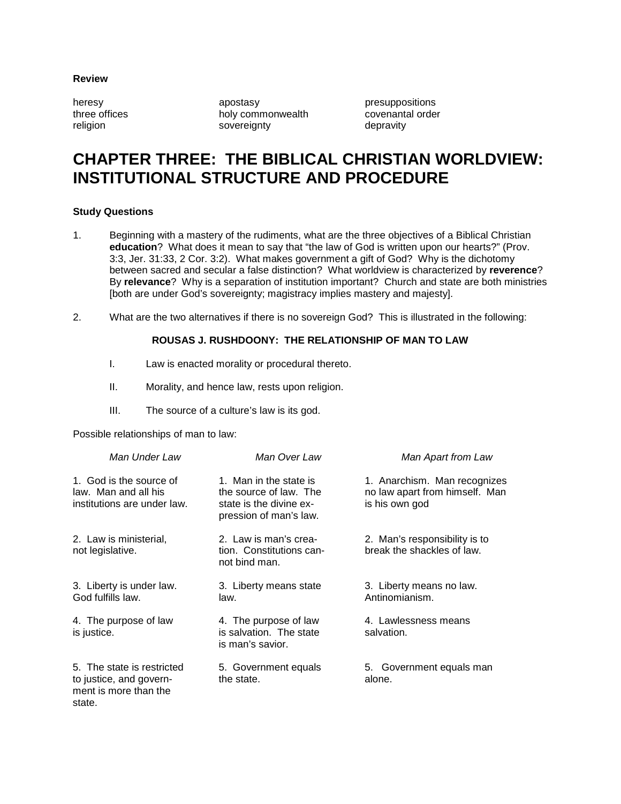### **Review**

heresy apostasy apostasy presuppositions<br>three offices holy commonwealth covenantal order holy commonwealth religion sovereignty sovereignty depravity

## **CHAPTER THREE: THE BIBLICAL CHRISTIAN WORLDVIEW: INSTITUTIONAL STRUCTURE AND PROCEDURE**

#### **Study Questions**

- 1. Beginning with a mastery of the rudiments, what are the three objectives of a Biblical Christian **education**? What does it mean to say that "the law of God is written upon our hearts?" (Prov. 3:3, Jer. 31:33, 2 Cor. 3:2). What makes government a gift of God? Why is the dichotomy between sacred and secular a false distinction? What worldview is characterized by **reverence**? By **relevance**? Why is a separation of institution important? Church and state are both ministries [both are under God's sovereignty; magistracy implies mastery and majesty].
- 2. What are the two alternatives if there is no sovereign God? This is illustrated in the following:

### **ROUSAS J. RUSHDOONY: THE RELATIONSHIP OF MAN TO LAW**

- I. Law is enacted morality or procedural thereto.
- II. Morality, and hence law, rests upon religion.
- III. The source of a culture's law is its god.

Possible relationships of man to law:

| Man Under Law                                                                            | Man Over Law                                                                                          | Man Apart from Law                                                               |
|------------------------------------------------------------------------------------------|-------------------------------------------------------------------------------------------------------|----------------------------------------------------------------------------------|
| 1. God is the source of<br>law. Man and all his<br>institutions are under law.           | 1. Man in the state is<br>the source of law. The<br>state is the divine ex-<br>pression of man's law. | 1. Anarchism. Man recognizes<br>no law apart from himself. Man<br>is his own god |
| 2. Law is ministerial,<br>not legislative.                                               | 2. Law is man's crea-<br>tion. Constitutions can-<br>not bind man.                                    | 2. Man's responsibility is to<br>break the shackles of law.                      |
| 3. Liberty is under law.<br>God fulfills law.                                            | 3. Liberty means state<br>law.                                                                        | 3. Liberty means no law.<br>Antinomianism.                                       |
| 4. The purpose of law<br>is justice.                                                     | 4. The purpose of law<br>is salvation. The state<br>is man's savior.                                  | 4. Lawlessness means<br>salvation.                                               |
| 5. The state is restricted<br>to justice, and govern-<br>ment is more than the<br>state. | 5. Government equals<br>the state.                                                                    | 5. Government equals man<br>alone.                                               |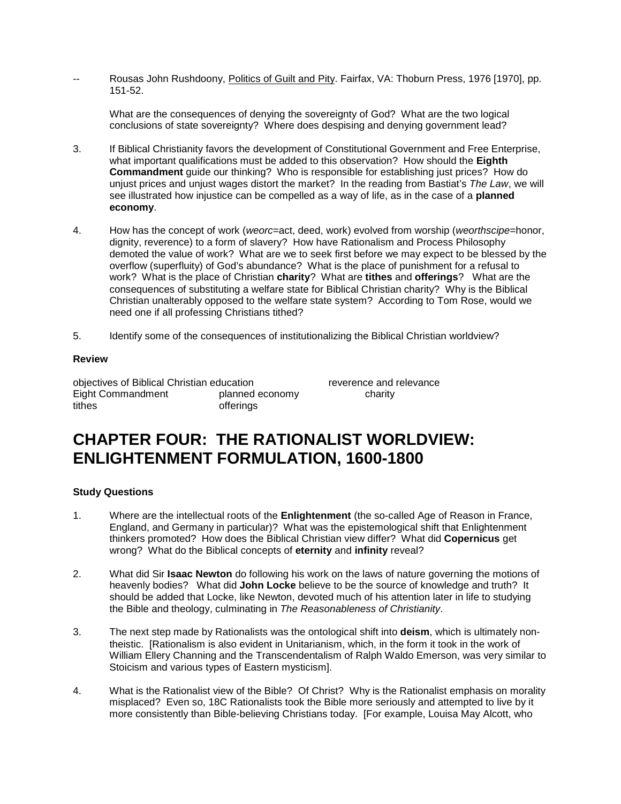Rousas John Rushdoony, Politics of Guilt and Pity. Fairfax, VA: Thoburn Press, 1976 [1970], pp. 151-52.

What are the consequences of denying the sovereignty of God? What are the two logical conclusions of state sovereignty? Where does despising and denying government lead?

- 3. If Biblical Christianity favors the development of Constitutional Government and Free Enterprise, what important qualifications must be added to this observation? How should the **Eighth Commandment** guide our thinking? Who is responsible for establishing just prices? How do unjust prices and unjust wages distort the market? In the reading from Bastiat's *The Law*, we will see illustrated how injustice can be compelled as a way of life, as in the case of a **planned economy**.
- 4. How has the concept of work (*weorc*=act, deed, work) evolved from worship (*weorthscipe*=honor, dignity, reverence) to a form of slavery? How have Rationalism and Process Philosophy demoted the value of work? What are we to seek first before we may expect to be blessed by the overflow (superfluity) of God's abundance? What is the place of punishment for a refusal to work? What is the place of Christian **charity**? What are **tithes** and **offerings**? What are the consequences of substituting a welfare state for Biblical Christian charity? Why is the Biblical Christian unalterably opposed to the welfare state system? According to Tom Rose, would we need one if all professing Christians tithed?
- 5. Identify some of the consequences of institutionalizing the Biblical Christian worldview?

### **Review**

objectives of Biblical Christian education reverence and relevance<br>
Eight Commandment planned economy charity Eight Commandment planned economy charity tithes offerings

## **CHAPTER FOUR: THE RATIONALIST WORLDVIEW: ENLIGHTENMENT FORMULATION, 1600-1800**

### **Study Questions**

- 1. Where are the intellectual roots of the **Enlightenment** (the so-called Age of Reason in France, England, and Germany in particular)? What was the epistemological shift that Enlightenment thinkers promoted? How does the Biblical Christian view differ? What did **Copernicus** get wrong? What do the Biblical concepts of **eternity** and **infinity** reveal?
- 2. What did Sir **Isaac Newton** do following his work on the laws of nature governing the motions of heavenly bodies? What did **John Locke** believe to be the source of knowledge and truth? It should be added that Locke, like Newton, devoted much of his attention later in life to studying the Bible and theology, culminating in *The Reasonableness of Christianity*.
- 3. The next step made by Rationalists was the ontological shift into **deism**, which is ultimately nontheistic. [Rationalism is also evident in Unitarianism, which, in the form it took in the work of William Ellery Channing and the Transcendentalism of Ralph Waldo Emerson, was very similar to Stoicism and various types of Eastern mysticism].
- 4. What is the Rationalist view of the Bible? Of Christ? Why is the Rationalist emphasis on morality misplaced? Even so, 18C Rationalists took the Bible more seriously and attempted to live by it more consistently than Bible-believing Christians today. [For example, Louisa May Alcott, who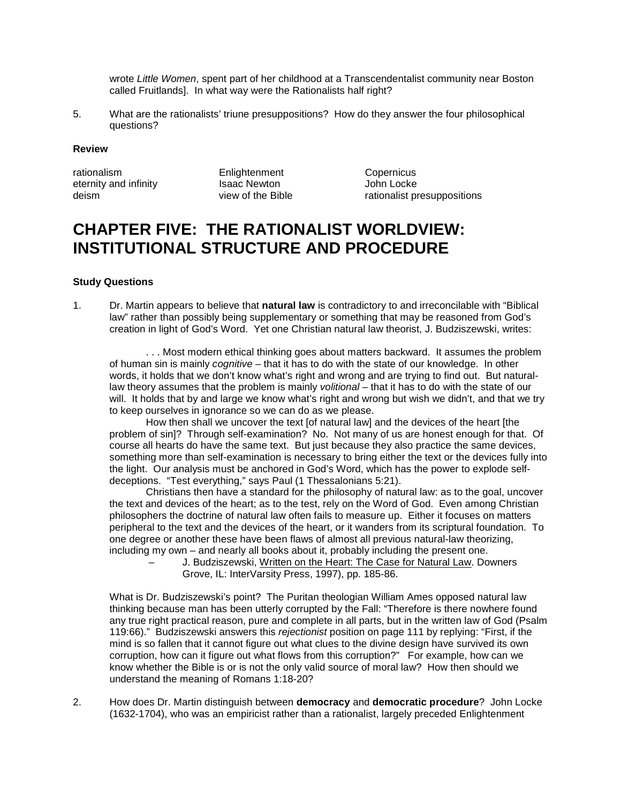wrote *Little Women*, spent part of her childhood at a Transcendentalist community near Boston called Fruitlands]. In what way were the Rationalists half right?

5. What are the rationalists' triune presuppositions? How do they answer the four philosophical questions?

#### **Review**

rationalism Enlightenment Copernicus<br>
eternity and infinity Isaac Newton Sobh Locke eternity and infinity<br>
deism
deism
deism
deism
deism
deism
deism
deism
deism
deism
deism
deism
deism
deism
deism
deism
deism
deism
deism
deism
deism
deism
deism
deism
deism
deism
deism
deism
deism
deism
deism
deism
deism
d

deism view of the Bible rationalist presuppositions of the Rible rationalist presuppositions

## **CHAPTER FIVE: THE RATIONALIST WORLDVIEW: INSTITUTIONAL STRUCTURE AND PROCEDURE**

### **Study Questions**

1. Dr. Martin appears to believe that **natural law** is contradictory to and irreconcilable with "Biblical law" rather than possibly being supplementary or something that may be reasoned from God's creation in light of God's Word. Yet one Christian natural law theorist, J. Budziszewski, writes:

. . . Most modern ethical thinking goes about matters backward. It assumes the problem of human sin is mainly *cognitive* – that it has to do with the state of our knowledge. In other words, it holds that we don't know what's right and wrong and are trying to find out. But naturallaw theory assumes that the problem is mainly *volitional* – that it has to do with the state of our will. It holds that by and large we know what's right and wrong but wish we didn't, and that we try to keep ourselves in ignorance so we can do as we please.

How then shall we uncover the text [of natural law] and the devices of the heart [the problem of sin]? Through self-examination? No. Not many of us are honest enough for that. Of course all hearts do have the same text. But just because they also practice the same devices, something more than self-examination is necessary to bring either the text or the devices fully into the light. Our analysis must be anchored in God's Word, which has the power to explode selfdeceptions. "Test everything," says Paul (1 Thessalonians 5:21).

Christians then have a standard for the philosophy of natural law: as to the goal, uncover the text and devices of the heart; as to the test, rely on the Word of God. Even among Christian philosophers the doctrine of natural law often fails to measure up. Either it focuses on matters peripheral to the text and the devices of the heart, or it wanders from its scriptural foundation. To one degree or another these have been flaws of almost all previous natural-law theorizing, including my own – and nearly all books about it, probably including the present one.

– J. Budziszewski, Written on the Heart: The Case for Natural Law. Downers Grove, IL: InterVarsity Press, 1997), pp. 185-86.

What is Dr. Budziszewski's point? The Puritan theologian William Ames opposed natural law thinking because man has been utterly corrupted by the Fall: "Therefore is there nowhere found any true right practical reason, pure and complete in all parts, but in the written law of God (Psalm 119:66)." Budziszewski answers this *rejectionist* position on page 111 by replying: "First, if the mind is so fallen that it cannot figure out what clues to the divine design have survived its own corruption, how can it figure out what flows from this corruption?" For example, how can we know whether the Bible is or is not the only valid source of moral law? How then should we understand the meaning of Romans 1:18-20?

2. How does Dr. Martin distinguish between **democracy** and **democratic procedure**? John Locke (1632-1704), who was an empiricist rather than a rationalist, largely preceded Enlightenment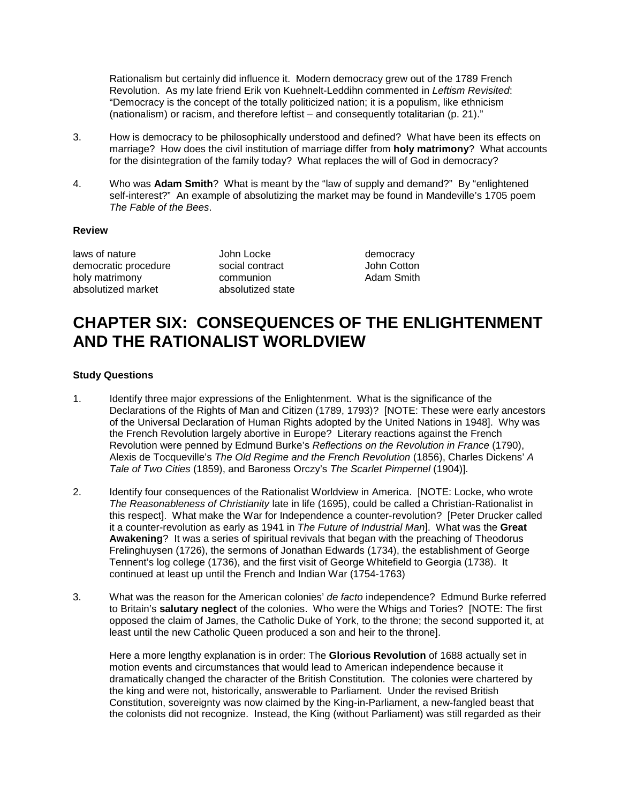Rationalism but certainly did influence it. Modern democracy grew out of the 1789 French Revolution. As my late friend Erik von Kuehnelt-Leddihn commented in *Leftism Revisited*: "Democracy is the concept of the totally politicized nation; it is a populism, like ethnicism (nationalism) or racism, and therefore leftist – and consequently totalitarian (p. 21)."

- 3. How is democracy to be philosophically understood and defined? What have been its effects on marriage? How does the civil institution of marriage differ from **holy matrimony**? What accounts for the disintegration of the family today? What replaces the will of God in democracy?
- 4. Who was **Adam Smith**? What is meant by the "law of supply and demand?" By "enlightened self-interest?" An example of absolutizing the market may be found in Mandeville's 1705 poem *The Fable of the Bees*.

#### **Review**

laws of nature The South Locke Charles of nature and the Locke democracy<br>
democratic procedure The Social contract Charles Social of the Social contract democratic procedure social contract but all up of John Cotton holy matrimony communion boly matrimony communion absolutized market absolutized state

## **CHAPTER SIX: CONSEQUENCES OF THE ENLIGHTENMENT AND THE RATIONALIST WORLDVIEW**

### **Study Questions**

- 1. Identify three major expressions of the Enlightenment. What is the significance of the Declarations of the Rights of Man and Citizen (1789, 1793)? [NOTE: These were early ancestors of the Universal Declaration of Human Rights adopted by the United Nations in 1948]. Why was the French Revolution largely abortive in Europe? Literary reactions against the French Revolution were penned by Edmund Burke's *Reflections on the Revolution in France* (1790), Alexis de Tocqueville's *The Old Regime and the French Revolution* (1856), Charles Dickens' *A Tale of Two Cities* (1859), and Baroness Orczy's *The Scarlet Pimpernel* (1904)].
- 2. Identify four consequences of the Rationalist Worldview in America. [NOTE: Locke, who wrote *The Reasonableness of Christianity* late in life (1695), could be called a Christian-Rationalist in this respect]. What make the War for Independence a counter-revolution? [Peter Drucker called it a counter-revolution as early as 1941 in *The Future of Industrial Man*]. What was the **Great Awakening**? It was a series of spiritual revivals that began with the preaching of Theodorus Frelinghuysen (1726), the sermons of Jonathan Edwards (1734), the establishment of George Tennent's log college (1736), and the first visit of George Whitefield to Georgia (1738). It continued at least up until the French and Indian War (1754-1763)
- 3. What was the reason for the American colonies' *de facto* independence? Edmund Burke referred to Britain's **salutary neglect** of the colonies. Who were the Whigs and Tories? [NOTE: The first opposed the claim of James, the Catholic Duke of York, to the throne; the second supported it, at least until the new Catholic Queen produced a son and heir to the throne].

Here a more lengthy explanation is in order: The **Glorious Revolution** of 1688 actually set in motion events and circumstances that would lead to American independence because it dramatically changed the character of the British Constitution. The colonies were chartered by the king and were not, historically, answerable to Parliament. Under the revised British Constitution, sovereignty was now claimed by the King-in-Parliament, a new-fangled beast that the colonists did not recognize. Instead, the King (without Parliament) was still regarded as their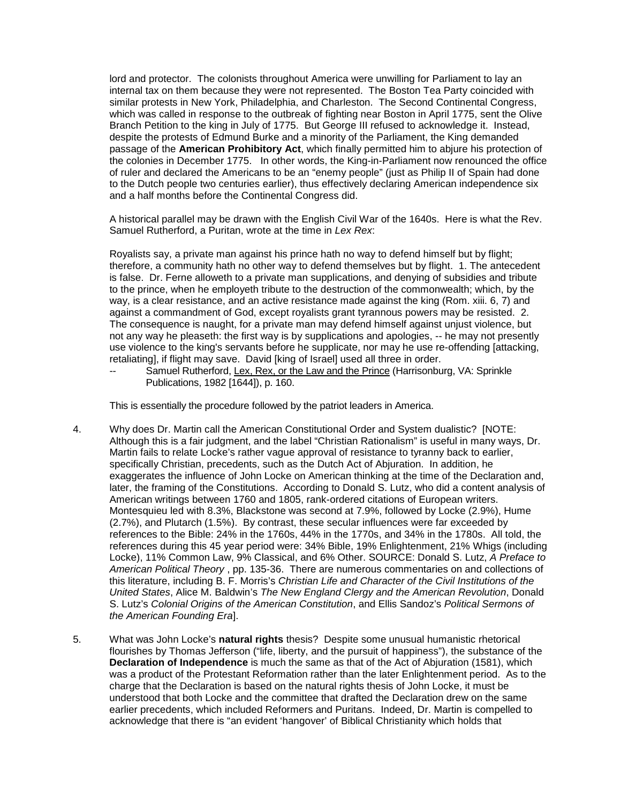lord and protector. The colonists throughout America were unwilling for Parliament to lay an internal tax on them because they were not represented. The Boston Tea Party coincided with similar protests in New York, Philadelphia, and Charleston. The Second Continental Congress, which was called in response to the outbreak of fighting near Boston in April 1775, sent the Olive Branch Petition to the king in July of 1775. But George III refused to acknowledge it. Instead, despite the protests of Edmund Burke and a minority of the Parliament, the King demanded passage of the **American Prohibitory Act**, which finally permitted him to abjure his protection of the colonies in December 1775. In other words, the King-in-Parliament now renounced the office of ruler and declared the Americans to be an "enemy people" (just as Philip II of Spain had done to the Dutch people two centuries earlier), thus effectively declaring American independence six and a half months before the Continental Congress did.

A historical parallel may be drawn with the English Civil War of the 1640s. Here is what the Rev. Samuel Rutherford, a Puritan, wrote at the time in *Lex Rex*:

Royalists say, a private man against his prince hath no way to defend himself but by flight; therefore, a community hath no other way to defend themselves but by flight. 1. The antecedent is false. Dr. Ferne alloweth to a private man supplications, and denying of subsidies and tribute to the prince, when he employeth tribute to the destruction of the commonwealth; which, by the way, is a clear resistance, and an active resistance made against the king (Rom. xiii. 6, 7) and against a commandment of God, except royalists grant tyrannous powers may be resisted. 2. The consequence is naught, for a private man may defend himself against unjust violence, but not any way he pleaseth: the first way is by supplications and apologies, -- he may not presently use violence to the king's servants before he supplicate, nor may he use re-offending [attacking, retaliating], if flight may save. David [king of Israel] used all three in order.

Samuel Rutherford, Lex, Rex, or the Law and the Prince (Harrisonburg, VA: Sprinkle Publications, 1982 [1644]), p. 160.

This is essentially the procedure followed by the patriot leaders in America.

- 4. Why does Dr. Martin call the American Constitutional Order and System dualistic? [NOTE: Although this is a fair judgment, and the label "Christian Rationalism" is useful in many ways, Dr. Martin fails to relate Locke's rather vague approval of resistance to tyranny back to earlier, specifically Christian, precedents, such as the Dutch Act of Abjuration. In addition, he exaggerates the influence of John Locke on American thinking at the time of the Declaration and, later, the framing of the Constitutions. According to Donald S. Lutz, who did a content analysis of American writings between 1760 and 1805, rank-ordered citations of European writers. Montesquieu led with 8.3%, Blackstone was second at 7.9%, followed by Locke (2.9%), Hume (2.7%), and Plutarch (1.5%). By contrast, these secular influences were far exceeded by references to the Bible: 24% in the 1760s, 44% in the 1770s, and 34% in the 1780s. All told, the references during this 45 year period were: 34% Bible, 19% Enlightenment, 21% Whigs (including Locke), 11% Common Law, 9% Classical, and 6% Other. SOURCE: Donald S. Lutz, *A Preface to American Political Theory* , pp. 135-36. There are numerous commentaries on and collections of this literature, including B. F. Morris's *Christian Life and Character of the Civil Institutions of the United States*, Alice M. Baldwin's *The New England Clergy and the American Revolution*, Donald S. Lutz's *Colonial Origins of the American Constitution*, and Ellis Sandoz's *Political Sermons of the American Founding Era*].
- 5. What was John Locke's **natural rights** thesis? Despite some unusual humanistic rhetorical flourishes by Thomas Jefferson ("life, liberty, and the pursuit of happiness"), the substance of the **Declaration of Independence** is much the same as that of the Act of Abjuration (1581), which was a product of the Protestant Reformation rather than the later Enlightenment period. As to the charge that the Declaration is based on the natural rights thesis of John Locke, it must be understood that both Locke and the committee that drafted the Declaration drew on the same earlier precedents, which included Reformers and Puritans. Indeed, Dr. Martin is compelled to acknowledge that there is "an evident 'hangover' of Biblical Christianity which holds that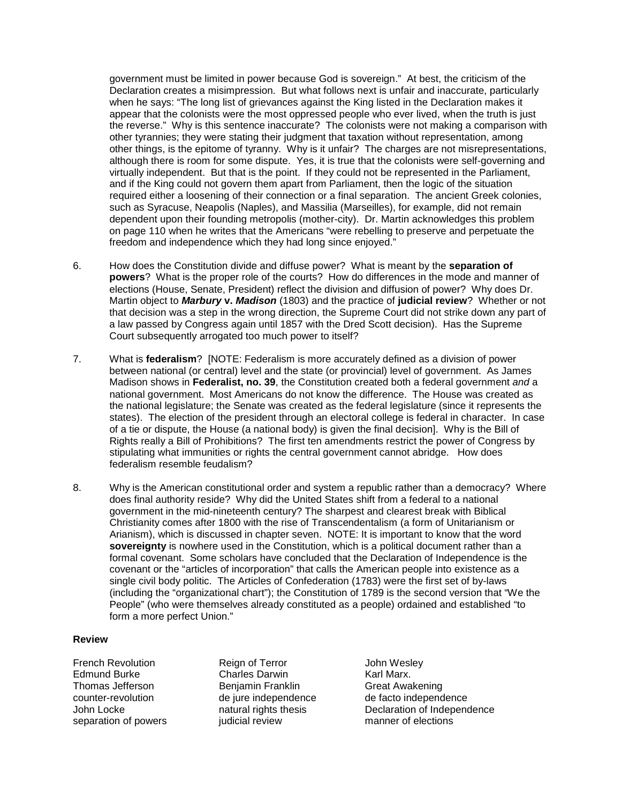government must be limited in power because God is sovereign." At best, the criticism of the Declaration creates a misimpression. But what follows next is unfair and inaccurate, particularly when he says: "The long list of grievances against the King listed in the Declaration makes it appear that the colonists were the most oppressed people who ever lived, when the truth is just the reverse." Why is this sentence inaccurate? The colonists were not making a comparison with other tyrannies; they were stating their judgment that taxation without representation, among other things, is the epitome of tyranny. Why is it unfair? The charges are not misrepresentations, although there is room for some dispute. Yes, it is true that the colonists were self-governing and virtually independent. But that is the point. If they could not be represented in the Parliament, and if the King could not govern them apart from Parliament, then the logic of the situation required either a loosening of their connection or a final separation. The ancient Greek colonies, such as Syracuse, Neapolis (Naples), and Massilia (Marseilles), for example, did not remain dependent upon their founding metropolis (mother-city). Dr. Martin acknowledges this problem on page 110 when he writes that the Americans "were rebelling to preserve and perpetuate the freedom and independence which they had long since enjoyed."

- 6. How does the Constitution divide and diffuse power? What is meant by the **separation of powers**? What is the proper role of the courts? How do differences in the mode and manner of elections (House, Senate, President) reflect the division and diffusion of power? Why does Dr. Martin object to *Marbury* **v.** *Madison* (1803) and the practice of **judicial review**? Whether or not that decision was a step in the wrong direction, the Supreme Court did not strike down any part of a law passed by Congress again until 1857 with the Dred Scott decision). Has the Supreme Court subsequently arrogated too much power to itself?
- 7. What is **federalism**? [NOTE: Federalism is more accurately defined as a division of power between national (or central) level and the state (or provincial) level of government. As James Madison shows in **Federalist, no. 39**, the Constitution created both a federal government *and* a national government. Most Americans do not know the difference. The House was created as the national legislature; the Senate was created as the federal legislature (since it represents the states). The election of the president through an electoral college is federal in character. In case of a tie or dispute, the House (a national body) is given the final decision]. Why is the Bill of Rights really a Bill of Prohibitions? The first ten amendments restrict the power of Congress by stipulating what immunities or rights the central government cannot abridge. How does federalism resemble feudalism?
- 8. Why is the American constitutional order and system a republic rather than a democracy? Where does final authority reside? Why did the United States shift from a federal to a national government in the mid-nineteenth century? The sharpest and clearest break with Biblical Christianity comes after 1800 with the rise of Transcendentalism (a form of Unitarianism or Arianism), which is discussed in chapter seven. NOTE: It is important to know that the word **sovereignty** is nowhere used in the Constitution, which is a political document rather than a formal covenant. Some scholars have concluded that the Declaration of Independence is the covenant or the "articles of incorporation" that calls the American people into existence as a single civil body politic. The Articles of Confederation (1783) were the first set of by-laws (including the "organizational chart"); the Constitution of 1789 is the second version that "We the People" (who were themselves already constituted as a people) ordained and established "to form a more perfect Union."

#### **Review**

French Revolution Reign of Terror John Wesley Charles Darwin de jure independence<br>natural rights thesis separation of powers indicial review manner of elections

Thomas Jefferson **Benjamin Franklin** Great Awakening<br>
counter-revolution de jure independence de facto independence John Locke natural rights thesis Declaration of Independence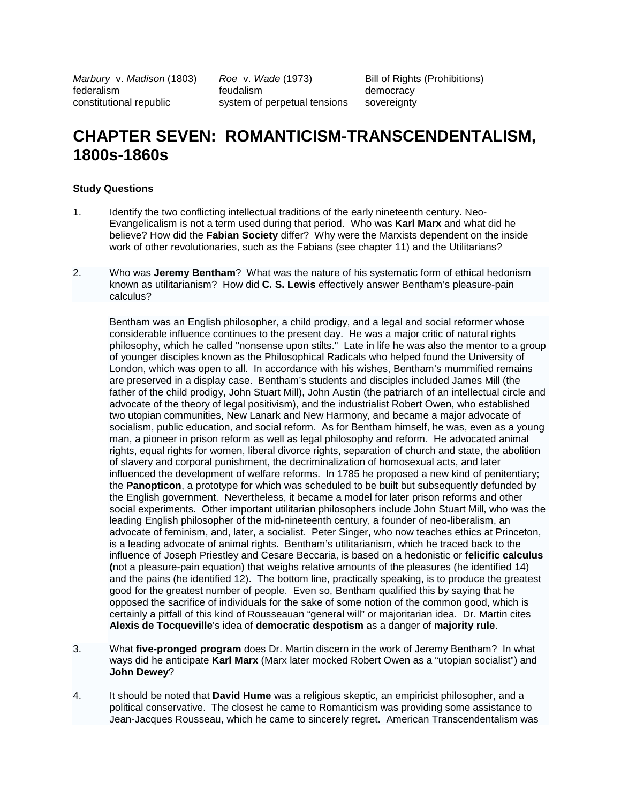*Marbury* v. *Madison* (1803) *Roe* v. *Wade* (1973) Bill of Rights (Prohibitions) federalism feudalism democracy constitutional republic system of perpetual tensions sovereignty

## **CHAPTER SEVEN: ROMANTICISM-TRANSCENDENTALISM, 1800s-1860s**

### **Study Questions**

- 1. Identify the two conflicting intellectual traditions of the early nineteenth century. Neo-Evangelicalism is not a term used during that period. Who was **Karl Marx** and what did he believe? How did the **Fabian Society** differ? Why were the Marxists dependent on the inside work of other revolutionaries, such as the Fabians (see chapter 11) and the Utilitarians?
- 2. Who was **Jeremy Bentham**? What was the nature of his systematic form of ethical hedonism known as utilitarianism? How did **C. S. Lewis** effectively answer Bentham's pleasure-pain calculus?

Bentham was an English philosopher, a child prodigy, and a legal and social reformer whose considerable influence continues to the present day. He was a major critic of natural rights philosophy, which he called "nonsense upon stilts." Late in life he was also the mentor to a group of younger disciples known as the Philosophical Radicals who helped found the University of London, which was open to all. In accordance with his wishes, Bentham's mummified remains are preserved in a display case. Bentham's students and disciples included James Mill (the father of the child prodigy, John Stuart Mill), John Austin (the patriarch of an intellectual circle and advocate of the theory of legal positivism), and the industrialist Robert Owen, who established two utopian communities, New Lanark and New Harmony, and became a major advocate of socialism, public education, and social reform. As for Bentham himself, he was, even as a young man, a pioneer in prison reform as well as legal philosophy and reform. He advocated animal rights, equal rights for women, liberal divorce rights, separation of church and state, the abolition of slavery and corporal punishment, the decriminalization of homosexual acts, and later influenced the development of welfare reforms. In 1785 he proposed a new kind of penitentiary; the **Panopticon**, a prototype for which was scheduled to be built but subsequently defunded by the English government. Nevertheless, it became a model for later prison reforms and other social experiments. Other important utilitarian philosophers include John Stuart Mill, who was the leading English philosopher of the mid-nineteenth century, a founder of neo-liberalism, an advocate of feminism, and, later, a socialist. Peter Singer, who now teaches ethics at Princeton, is a leading advocate of animal rights. Bentham's utilitarianism, which he traced back to the influence of Joseph Priestley and Cesare Beccaria, is based on a hedonistic or **felicific calculus (**not a pleasure-pain equation) that weighs relative amounts of the pleasures (he identified 14) and the pains (he identified 12). The bottom line, practically speaking, is to produce the greatest good for the greatest number of people. Even so, Bentham qualified this by saying that he opposed the sacrifice of individuals for the sake of some notion of the common good, which is certainly a pitfall of this kind of Rousseauan "general will" or majoritarian idea. Dr. Martin cites **Alexis de Tocqueville**'s idea of **democratic despotism** as a danger of **majority rule**.

- 3. What **five-pronged program** does Dr. Martin discern in the work of Jeremy Bentham? In what ways did he anticipate **Karl Marx** (Marx later mocked Robert Owen as a "utopian socialist") and **John Dewey**?
- 4. It should be noted that **David Hume** was a religious skeptic, an empiricist philosopher, and a political conservative. The closest he came to Romanticism was providing some assistance to Jean-Jacques Rousseau, which he came to sincerely regret. American Transcendentalism was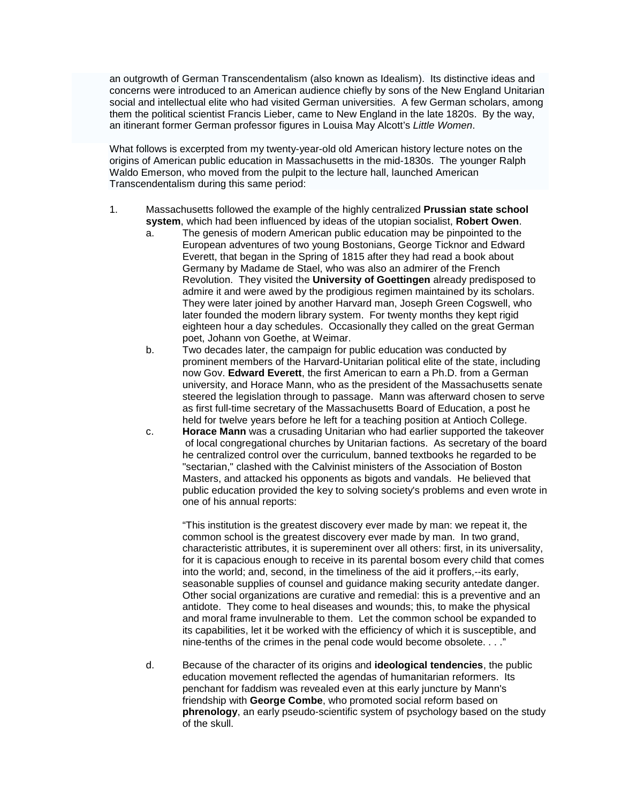an outgrowth of German Transcendentalism (also known as Idealism). Its distinctive ideas and concerns were introduced to an American audience chiefly by sons of the New England Unitarian social and intellectual elite who had visited German universities. A few German scholars, among them the political scientist Francis Lieber, came to New England in the late 1820s. By the way, an itinerant former German professor figures in Louisa May Alcott's *Little Women*.

What follows is excerpted from my twenty-year-old old American history lecture notes on the origins of American public education in Massachusetts in the mid-1830s. The younger Ralph Waldo Emerson, who moved from the pulpit to the lecture hall, launched American Transcendentalism during this same period:

- 1. Massachusetts followed the example of the highly centralized **Prussian state school system**, which had been influenced by ideas of the utopian socialist, **Robert Owen**.
	- a. The genesis of modern American public education may be pinpointed to the European adventures of two young Bostonians, George Ticknor and Edward Everett, that began in the Spring of 1815 after they had read a book about Germany by Madame de Stael, who was also an admirer of the French Revolution. They visited the **University of Goettingen** already predisposed to admire it and were awed by the prodigious regimen maintained by its scholars. They were later joined by another Harvard man, Joseph Green Cogswell, who later founded the modern library system. For twenty months they kept rigid eighteen hour a day schedules. Occasionally they called on the great German poet, Johann von Goethe, at Weimar.
	- b. Two decades later, the campaign for public education was conducted by prominent members of the Harvard-Unitarian political elite of the state, including now Gov. **Edward Everett**, the first American to earn a Ph.D. from a German university, and Horace Mann, who as the president of the Massachusetts senate steered the legislation through to passage. Mann was afterward chosen to serve as first full-time secretary of the Massachusetts Board of Education, a post he held for twelve years before he left for a teaching position at Antioch College.
	- c. **Horace Mann** was a crusading Unitarian who had earlier supported the takeover of local congregational churches by Unitarian factions. As secretary of the board he centralized control over the curriculum, banned textbooks he regarded to be "sectarian," clashed with the Calvinist ministers of the Association of Boston Masters, and attacked his opponents as bigots and vandals. He believed that public education provided the key to solving society's problems and even wrote in one of his annual reports:

"This institution is the greatest discovery ever made by man: we repeat it, the common school is the greatest discovery ever made by man. In two grand, characteristic attributes, it is supereminent over all others: first, in its universality, for it is capacious enough to receive in its parental bosom every child that comes into the world; and, second, in the timeliness of the aid it proffers,--its early, seasonable supplies of counsel and guidance making security antedate danger. Other social organizations are curative and remedial: this is a preventive and an antidote. They come to heal diseases and wounds; this, to make the physical and moral frame invulnerable to them. Let the common school be expanded to its capabilities, let it be worked with the efficiency of which it is susceptible, and nine-tenths of the crimes in the penal code would become obsolete. . . ."

d. Because of the character of its origins and **ideological tendencies**, the public education movement reflected the agendas of humanitarian reformers. Its penchant for faddism was revealed even at this early juncture by Mann's friendship with **George Combe**, who promoted social reform based on **phrenology**, an early pseudo-scientific system of psychology based on the study of the skull.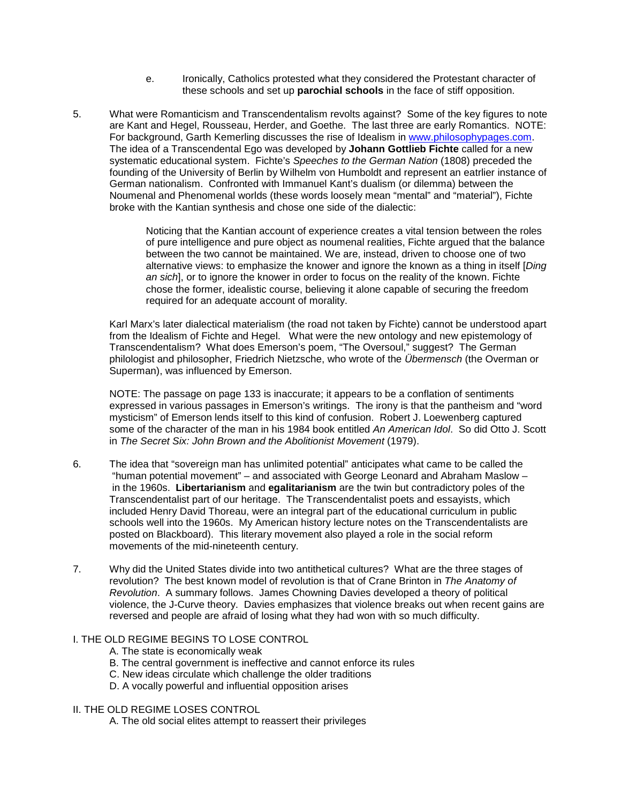- e. Ironically, Catholics protested what they considered the Protestant character of these schools and set up **parochial schools** in the face of stiff opposition.
- 5. What were Romanticism and Transcendentalism revolts against? Some of the key figures to note are Kant and Hegel, Rousseau, Herder, and Goethe. The last three are early Romantics. NOTE: For background, Garth Kemerling discusses the rise of Idealism in [www.philosophypages.com.](http://www.philosophypages.com/) The idea of a Transcendental Ego was developed by **Johann Gottlieb Fichte** called for a new systematic educational system. Fichte's *Speeches to the German Nation* (1808) preceded the founding of the University of Berlin by Wilhelm von Humboldt and represent an eatrlier instance of German nationalism. Confronted with Immanuel Kant's dualism (or dilemma) between the Noumenal and Phenomenal worlds (these words loosely mean "mental" and "material"), Fichte broke with the Kantian synthesis and chose one side of the dialectic:

Noticing that the Kantian account of experience creates a vital tension between the roles of pure intelligence and pure object as noumenal realities, Fichte argued that the balance between the two cannot be maintained. We are, instead, driven to choose one of two alternative views: to emphasize the knower and ignore the known as a thing in itself [*Ding an sich*], or to ignore the knower in order to focus on the reality of the known. Fichte chose the former, idealistic course, believing it alone capable of securing the freedom required for an adequate account of morality.

Karl Marx's later dialectical materialism (the road not taken by Fichte) cannot be understood apart from the Idealism of Fichte and Hegel. What were the new ontology and new epistemology of Transcendentalism? What does Emerson's poem, "The Oversoul," suggest? The German philologist and philosopher, Friedrich Nietzsche, who wrote of the *Übermensch* (the Overman or Superman), was influenced by Emerson.

NOTE: The passage on page 133 is inaccurate; it appears to be a conflation of sentiments expressed in various passages in Emerson's writings. The irony is that the pantheism and "word mysticism" of Emerson lends itself to this kind of confusion. Robert J. Loewenberg captured some of the character of the man in his 1984 book entitled *An American Idol*. So did Otto J. Scott in *The Secret Six: John Brown and the Abolitionist Movement* (1979).

- 6. The idea that "sovereign man has unlimited potential" anticipates what came to be called the "human potential movement" – and associated with George Leonard and Abraham Maslow – in the 1960s. **Libertarianism** and **egalitarianism** are the twin but contradictory poles of the Transcendentalist part of our heritage. The Transcendentalist poets and essayists, which included Henry David Thoreau, were an integral part of the educational curriculum in public schools well into the 1960s. My American history lecture notes on the Transcendentalists are posted on Blackboard). This literary movement also played a role in the social reform movements of the mid-nineteenth century.
- 7. Why did the United States divide into two antithetical cultures? What are the three stages of revolution? The best known model of revolution is that of Crane Brinton in *The Anatomy of Revolution*. A summary follows. James Chowning Davies developed a theory of political violence, the J-Curve theory. Davies emphasizes that violence breaks out when recent gains are reversed and people are afraid of losing what they had won with so much difficulty.

#### I. THE OLD REGIME BEGINS TO LOSE CONTROL

- A. The state is economically weak
- B. The central government is ineffective and cannot enforce its rules
- C. New ideas circulate which challenge the older traditions
- D. A vocally powerful and influential opposition arises

#### II. THE OLD REGIME LOSES CONTROL

A. The old social elites attempt to reassert their privileges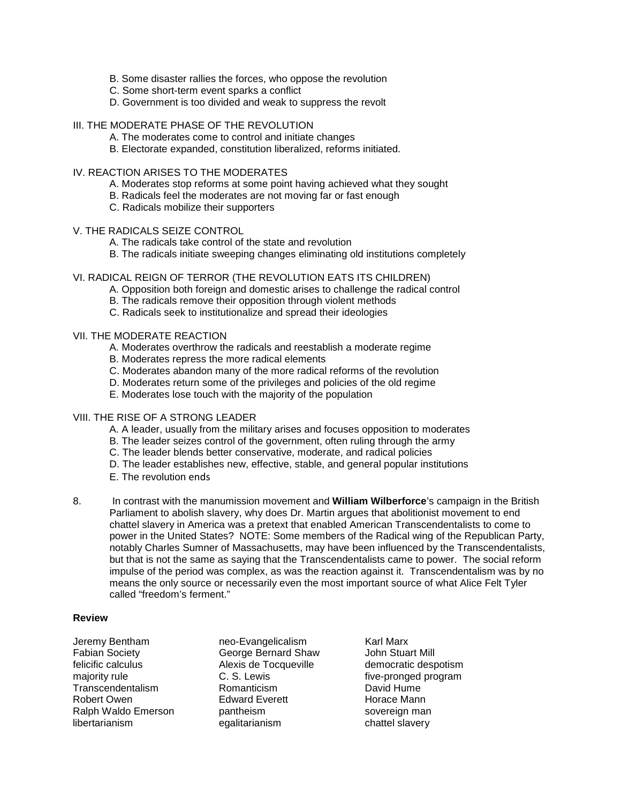- B. Some disaster rallies the forces, who oppose the revolution
- C. Some short-term event sparks a conflict
- D. Government is too divided and weak to suppress the revolt
- III. THE MODERATE PHASE OF THE REVOLUTION
	- A. The moderates come to control and initiate changes
	- B. Electorate expanded, constitution liberalized, reforms initiated.

#### IV. REACTION ARISES TO THE MODERATES

- A. Moderates stop reforms at some point having achieved what they sought
- B. Radicals feel the moderates are not moving far or fast enough
- C. Radicals mobilize their supporters

### V. THE RADICALS SEIZE CONTROL

- A. The radicals take control of the state and revolution
- B. The radicals initiate sweeping changes eliminating old institutions completely

#### VI. RADICAL REIGN OF TERROR (THE REVOLUTION EATS ITS CHILDREN)

- A. Opposition both foreign and domestic arises to challenge the radical control
- B. The radicals remove their opposition through violent methods
- C. Radicals seek to institutionalize and spread their ideologies

### VII. THE MODERATE REACTION

- A. Moderates overthrow the radicals and reestablish a moderate regime
- B. Moderates repress the more radical elements
- C. Moderates abandon many of the more radical reforms of the revolution
- D. Moderates return some of the privileges and policies of the old regime
- E. Moderates lose touch with the majority of the population

#### VIII. THE RISE OF A STRONG LEADER

- A. A leader, usually from the military arises and focuses opposition to moderates
- B. The leader seizes control of the government, often ruling through the army
- C. The leader blends better conservative, moderate, and radical policies
- D. The leader establishes new, effective, stable, and general popular institutions
- E. The revolution ends
- 8. In contrast with the manumission movement and **William Wilberforce**'s campaign in the British Parliament to abolish slavery, why does Dr. Martin argues that abolitionist movement to end chattel slavery in America was a pretext that enabled American Transcendentalists to come to power in the United States? NOTE: Some members of the Radical wing of the Republican Party, notably Charles Sumner of Massachusetts, may have been influenced by the Transcendentalists, but that is not the same as saying that the Transcendentalists came to power. The social reform impulse of the period was complex, as was the reaction against it. Transcendentalism was by no means the only source or necessarily even the most important source of what Alice Felt Tyler called "freedom's ferment."

#### **Review**

- Jeremy Bentham neo-Evangelicalism Karl Marx felicific calculus **Alexis de Tocqueville** democratic despotism<br>maiority rule **C.S.** C.S. Lewis tive-pronged program majority rule **C. S. Lewis** C. S. Lewis five-pronged program<br>
Transcendentalism Romanticism **David Hume Transcendentalism** Robert Owen **Edward Everett** Horace Mann Ralph Waldo Emerson **pantheism** sovereign man<br>
libertarianism eqalitarianism chattel slavery
	- George Bernard Shaw egalitarianism
-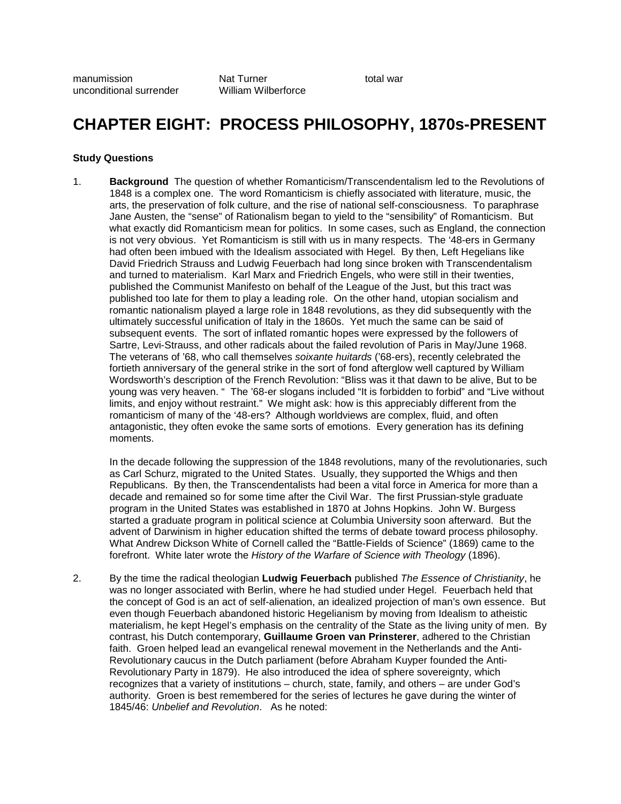## **CHAPTER EIGHT: PROCESS PHILOSOPHY, 1870s-PRESENT**

#### **Study Questions**

1. **Background** The question of whether Romanticism/Transcendentalism led to the Revolutions of 1848 is a complex one. The word Romanticism is chiefly associated with literature, music, the arts, the preservation of folk culture, and the rise of national self-consciousness. To paraphrase Jane Austen, the "sense" of Rationalism began to yield to the "sensibility" of Romanticism. But what exactly did Romanticism mean for politics. In some cases, such as England, the connection is not very obvious. Yet Romanticism is still with us in many respects. The '48-ers in Germany had often been imbued with the Idealism associated with Hegel. By then, Left Hegelians like David Friedrich Strauss and Ludwig Feuerbach had long since broken with Transcendentalism and turned to materialism. Karl Marx and Friedrich Engels, who were still in their twenties, published the Communist Manifesto on behalf of the League of the Just, but this tract was published too late for them to play a leading role. On the other hand, utopian socialism and romantic nationalism played a large role in 1848 revolutions, as they did subsequently with the ultimately successful unification of Italy in the 1860s. Yet much the same can be said of subsequent events. The sort of inflated romantic hopes were expressed by the followers of Sartre, Levi-Strauss, and other radicals about the failed revolution of Paris in May/June 1968. The veterans of '68, who call themselves *soixante huitards* ('68-ers), recently celebrated the fortieth anniversary of the general strike in the sort of fond afterglow well captured by William Wordsworth's description of the French Revolution: "Bliss was it that dawn to be alive, But to be young was very heaven. " The '68-er slogans included "It is forbidden to forbid" and "Live without limits, and enjoy without restraint." We might ask: how is this appreciably different from the romanticism of many of the '48-ers? Although worldviews are complex, fluid, and often antagonistic, they often evoke the same sorts of emotions. Every generation has its defining moments.

In the decade following the suppression of the 1848 revolutions, many of the revolutionaries, such as Carl Schurz, migrated to the United States. Usually, they supported the Whigs and then Republicans. By then, the Transcendentalists had been a vital force in America for more than a decade and remained so for some time after the Civil War. The first Prussian-style graduate program in the United States was established in 1870 at Johns Hopkins. John W. Burgess started a graduate program in political science at Columbia University soon afterward. But the advent of Darwinism in higher education shifted the terms of debate toward process philosophy. What Andrew Dickson White of Cornell called the "Battle-Fields of Science" (1869) came to the forefront. White later wrote the *History of the Warfare of Science with Theology* (1896).

2. By the time the radical theologian **Ludwig Feuerbach** published *The Essence of Christianity*, he was no longer associated with Berlin, where he had studied under Hegel. Feuerbach held that the concept of God is an act of self-alienation, an idealized projection of man's own essence. But even though Feuerbach abandoned historic Hegelianism by moving from Idealism to atheistic materialism, he kept Hegel's emphasis on the centrality of the State as the living unity of men. By contrast, his Dutch contemporary, **Guillaume Groen van Prinsterer**, adhered to the Christian faith. Groen helped lead an evangelical renewal movement in the Netherlands and the Anti-Revolutionary caucus in the Dutch parliament (before Abraham Kuyper founded the Anti-Revolutionary Party in 1879). He also introduced the idea of sphere sovereignty, which recognizes that a variety of institutions – church, state, family, and others – are under God's authority. Groen is best remembered for the series of lectures he gave during the winter of 1845/46: *Unbelief and Revolution*. As he noted: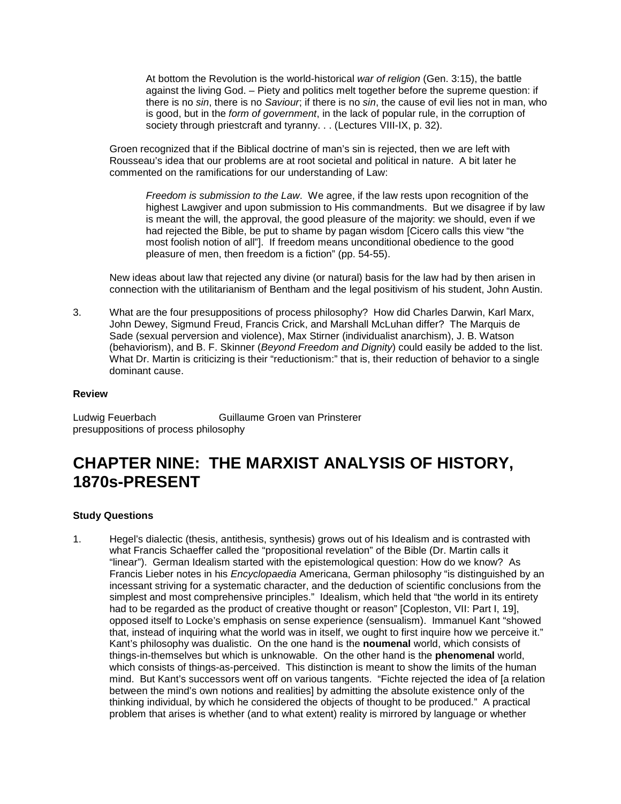At bottom the Revolution is the world-historical *war of religion* (Gen. 3:15), the battle against the living God. – Piety and politics melt together before the supreme question: if there is no *sin*, there is no *Saviour*; if there is no *sin*, the cause of evil lies not in man, who is good, but in the *form of government*, in the lack of popular rule, in the corruption of society through priestcraft and tyranny. . . (Lectures VIII-IX, p. 32).

Groen recognized that if the Biblical doctrine of man's sin is rejected, then we are left with Rousseau's idea that our problems are at root societal and political in nature. A bit later he commented on the ramifications for our understanding of Law:

*Freedom is submission to the Law*. We agree, if the law rests upon recognition of the highest Lawgiver and upon submission to His commandments. But we disagree if by law is meant the will, the approval, the good pleasure of the majority: we should, even if we had rejected the Bible, be put to shame by pagan wisdom [Cicero calls this view "the most foolish notion of all"]. If freedom means unconditional obedience to the good pleasure of men, then freedom is a fiction" (pp. 54-55).

New ideas about law that rejected any divine (or natural) basis for the law had by then arisen in connection with the utilitarianism of Bentham and the legal positivism of his student, John Austin.

3. What are the four presuppositions of process philosophy? How did Charles Darwin, Karl Marx, John Dewey, Sigmund Freud, Francis Crick, and Marshall McLuhan differ? The Marquis de Sade (sexual perversion and violence), Max Stirner (individualist anarchism), J. B. Watson (behaviorism), and B. F. Skinner (*Beyond Freedom and Dignity*) could easily be added to the list. What Dr. Martin is criticizing is their "reductionism:" that is, their reduction of behavior to a single dominant cause.

#### **Review**

Ludwig Feuerbach Guillaume Groen van Prinsterer presuppositions of process philosophy

## **CHAPTER NINE: THE MARXIST ANALYSIS OF HISTORY, 1870s-PRESENT**

#### **Study Questions**

1. Hegel's dialectic (thesis, antithesis, synthesis) grows out of his Idealism and is contrasted with what Francis Schaeffer called the "propositional revelation" of the Bible (Dr. Martin calls it "linear"). German Idealism started with the epistemological question: How do we know? As Francis Lieber notes in his *Encyclopaedia* Americana, German philosophy "is distinguished by an incessant striving for a systematic character, and the deduction of scientific conclusions from the simplest and most comprehensive principles." Idealism, which held that "the world in its entirety had to be regarded as the product of creative thought or reason" [Copleston, VII: Part I, 19], opposed itself to Locke's emphasis on sense experience (sensualism). Immanuel Kant "showed that, instead of inquiring what the world was in itself, we ought to first inquire how we perceive it." Kant's philosophy was dualistic. On the one hand is the **noumenal** world, which consists of things-in-themselves but which is unknowable. On the other hand is the **phenomenal** world, which consists of things-as-perceived. This distinction is meant to show the limits of the human mind. But Kant's successors went off on various tangents. "Fichte rejected the idea of [a relation between the mind's own notions and realities] by admitting the absolute existence only of the thinking individual, by which he considered the objects of thought to be produced." A practical problem that arises is whether (and to what extent) reality is mirrored by language or whether